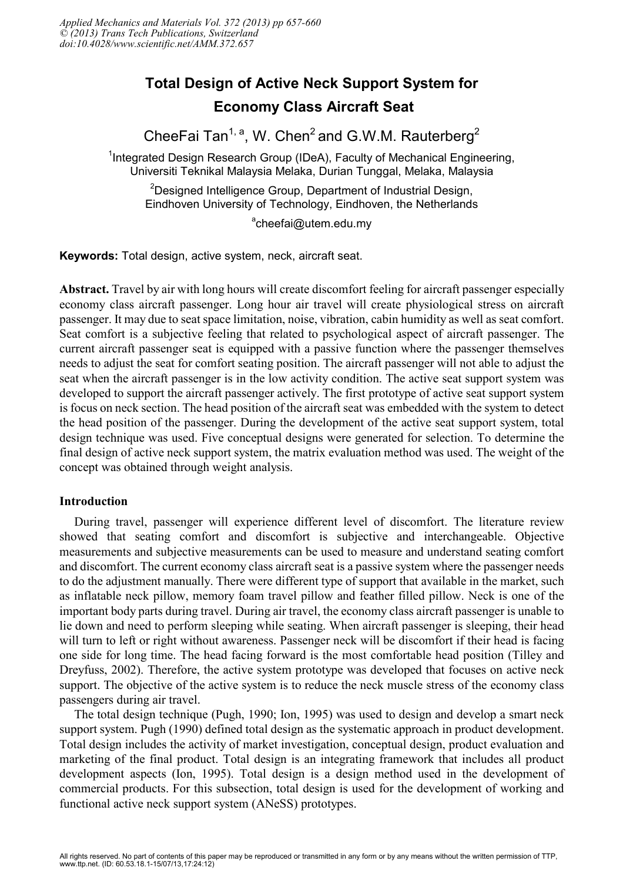# **Total Design of Active Neck Support System for Economy Class Aircraft Seat**

CheeFai Tan<sup>1, a</sup>, W. Chen<sup>2</sup> and G.W.M. Rauterberg<sup>2</sup>

<sup>1</sup>Integrated Design Research Group (IDeA), Faculty of Mechanical Engineering, Universiti Teknikal Malaysia Melaka, Durian Tunggal, Melaka, Malaysia

<sup>2</sup>Designed Intelligence Group, Department of Industrial Design, Eindhoven University of Technology, Eindhoven, the Netherlands

<sup>a</sup>cheefai@utem.edu.my

**Keywords:** Total design, active system, neck, aircraft seat.

**Abstract.** Travel by air with long hours will create discomfort feeling for aircraft passenger especially economy class aircraft passenger. Long hour air travel will create physiological stress on aircraft passenger. It may due to seat space limitation, noise, vibration, cabin humidity as well as seat comfort. Seat comfort is a subjective feeling that related to psychological aspect of aircraft passenger. The current aircraft passenger seat is equipped with a passive function where the passenger themselves needs to adjust the seat for comfort seating position. The aircraft passenger will not able to adjust the seat when the aircraft passenger is in the low activity condition. The active seat support system was developed to support the aircraft passenger actively. The first prototype of active seat support system is focus on neck section. The head position of the aircraft seat was embedded with the system to detect the head position of the passenger. During the development of the active seat support system, total design technique was used. Five conceptual designs were generated for selection. To determine the final design of active neck support system, the matrix evaluation method was used. The weight of the concept was obtained through weight analysis.

## **Introduction**

During travel, passenger will experience different level of discomfort. The literature review showed that seating comfort and discomfort is subjective and interchangeable. Objective measurements and subjective measurements can be used to measure and understand seating comfort and discomfort. The current economy class aircraft seat is a passive system where the passenger needs to do the adjustment manually. There were different type of support that available in the market, such as inflatable neck pillow, memory foam travel pillow and feather filled pillow. Neck is one of the important body parts during travel. During air travel, the economy class aircraft passenger is unable to lie down and need to perform sleeping while seating. When aircraft passenger is sleeping, their head will turn to left or right without awareness. Passenger neck will be discomfort if their head is facing one side for long time. The head facing forward is the most comfortable head position (Tilley and Dreyfuss, 2002). Therefore, the active system prototype was developed that focuses on active neck support. The objective of the active system is to reduce the neck muscle stress of the economy class passengers during air travel.

The total design technique (Pugh, 1990; Ion, 1995) was used to design and develop a smart neck support system. Pugh (1990) defined total design as the systematic approach in product development. Total design includes the activity of market investigation, conceptual design, product evaluation and marketing of the final product. Total design is an integrating framework that includes all product development aspects (Ion, 1995). Total design is a design method used in the development of commercial products. For this subsection, total design is used for the development of working and functional active neck support system (ANeSS) prototypes.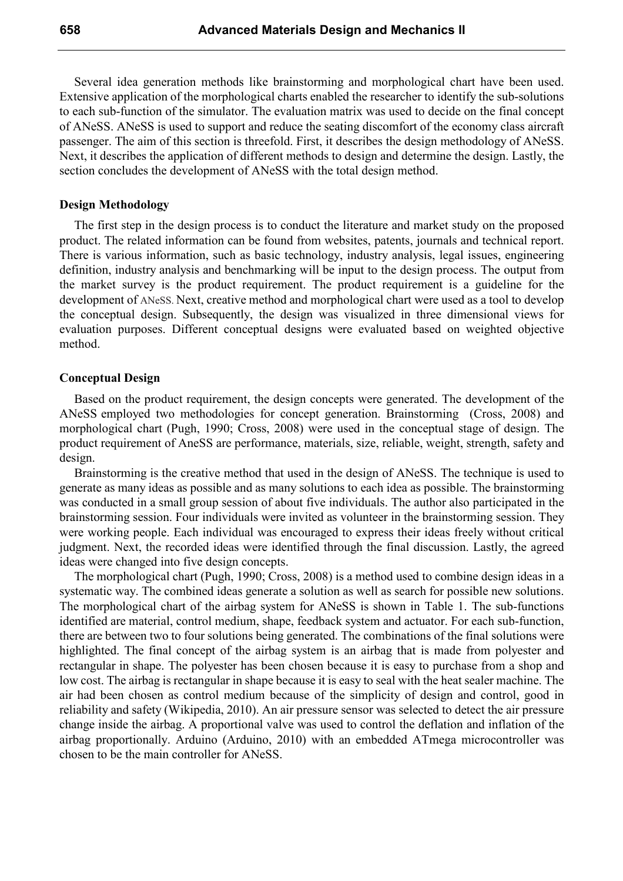Several idea generation methods like brainstorming and morphological chart have been used. Extensive application of the morphological charts enabled the researcher to identify the sub-solutions to each sub-function of the simulator. The evaluation matrix was used to decide on the final concept of ANeSS. ANeSS is used to support and reduce the seating discomfort of the economy class aircraft passenger. The aim of this section is threefold. First, it describes the design methodology of ANeSS. Next, it describes the application of different methods to design and determine the design. Lastly, the section concludes the development of ANeSS with the total design method.

#### **Design Methodology**

The first step in the design process is to conduct the literature and market study on the proposed product. The related information can be found from websites, patents, journals and technical report. There is various information, such as basic technology, industry analysis, legal issues, engineering definition, industry analysis and benchmarking will be input to the design process. The output from the market survey is the product requirement. The product requirement is a guideline for the development of ANeSS. Next, creative method and morphological chart were used as a tool to develop the conceptual design. Subsequently, the design was visualized in three dimensional views for evaluation purposes. Different conceptual designs were evaluated based on weighted objective method.

#### **Conceptual Design**

Based on the product requirement, the design concepts were generated. The development of the ANeSS employed two methodologies for concept generation. Brainstorming (Cross, 2008) and morphological chart (Pugh, 1990; Cross, 2008) were used in the conceptual stage of design. The product requirement of AneSS are performance, materials, size, reliable, weight, strength, safety and design.

Brainstorming is the creative method that used in the design of ANeSS. The technique is used to generate as many ideas as possible and as many solutions to each idea as possible. The brainstorming was conducted in a small group session of about five individuals. The author also participated in the brainstorming session. Four individuals were invited as volunteer in the brainstorming session. They were working people. Each individual was encouraged to express their ideas freely without critical judgment. Next, the recorded ideas were identified through the final discussion. Lastly, the agreed ideas were changed into five design concepts.

The morphological chart (Pugh, 1990; Cross, 2008) is a method used to combine design ideas in a systematic way. The combined ideas generate a solution as well as search for possible new solutions. The morphological chart of the airbag system for ANeSS is shown in Table 1. The sub-functions identified are material, control medium, shape, feedback system and actuator. For each sub-function, there are between two to four solutions being generated. The combinations of the final solutions were highlighted. The final concept of the airbag system is an airbag that is made from polyester and rectangular in shape. The polyester has been chosen because it is easy to purchase from a shop and low cost. The airbag is rectangular in shape because it is easy to seal with the heat sealer machine. The air had been chosen as control medium because of the simplicity of design and control, good in reliability and safety (Wikipedia, 2010). An air pressure sensor was selected to detect the air pressure change inside the airbag. A proportional valve was used to control the deflation and inflation of the airbag proportionally. Arduino (Arduino, 2010) with an embedded ATmega microcontroller was chosen to be the main controller for ANeSS.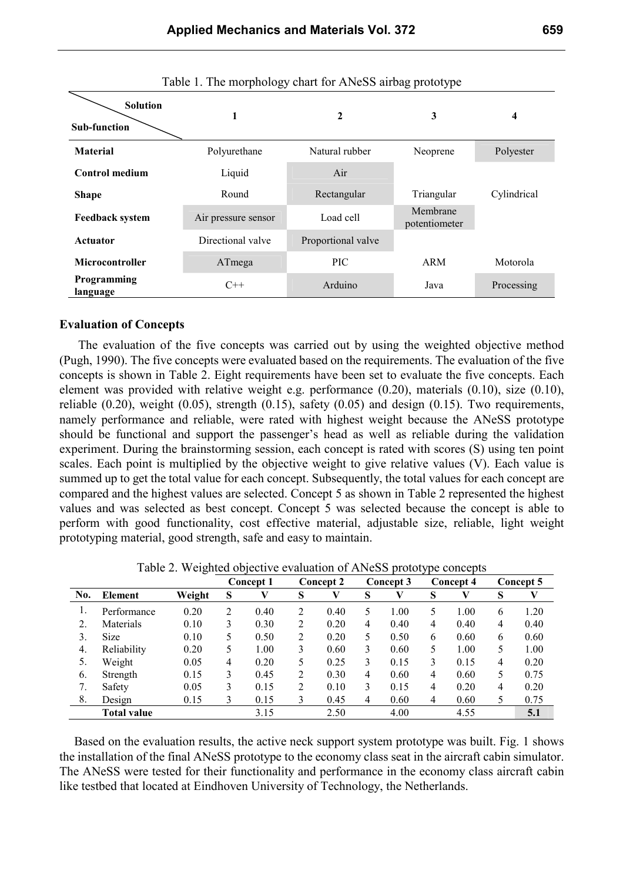| <b>Solution</b><br><b>Sub-function</b> | 1                   | $\mathbf{2}$       | 3                         | 4           |  |
|----------------------------------------|---------------------|--------------------|---------------------------|-------------|--|
| <b>Material</b>                        | Polyurethane        | Natural rubber     | Neoprene                  | Polyester   |  |
| <b>Control medium</b>                  | Liquid              | Air                |                           |             |  |
| <b>Shape</b>                           | Round               | Rectangular        | Triangular                | Cylindrical |  |
| <b>Feedback system</b>                 | Air pressure sensor | Load cell          | Membrane<br>potentiometer |             |  |
| <b>Actuator</b>                        | Directional valve   | Proportional valve |                           |             |  |
| <b>Microcontroller</b>                 | ATmega              | <b>PIC</b>         | ARM                       | Motorola    |  |
| Programming<br>language                | $C++$               | Arduino            | Java                      | Processing  |  |

Table 1. The morphology chart for ANeSS airbag prototype

#### **Evaluation of Concepts**

The evaluation of the five concepts was carried out by using the weighted objective method (Pugh, 1990). The five concepts were evaluated based on the requirements. The evaluation of the five concepts is shown in Table 2. Eight requirements have been set to evaluate the five concepts. Each element was provided with relative weight e.g. performance (0.20), materials (0.10), size (0.10), reliable  $(0.20)$ , weight  $(0.05)$ , strength  $(0.15)$ , safety  $(0.05)$  and design  $(0.15)$ . Two requirements, namely performance and reliable, were rated with highest weight because the ANeSS prototype should be functional and support the passenger's head as well as reliable during the validation experiment. During the brainstorming session, each concept is rated with scores (S) using ten point scales. Each point is multiplied by the objective weight to give relative values (V). Each value is summed up to get the total value for each concept. Subsequently, the total values for each concept are compared and the highest values are selected. Concept 5 as shown in Table 2 represented the highest values and was selected as best concept. Concept 5 was selected because the concept is able to perform with good functionality, cost effective material, adjustable size, reliable, light weight prototyping material, good strength, safe and easy to maintain.

|     |                    |        | <b>Concept 1</b> |      | <b>Concept 2</b> |      | <b>Concept 3</b> |      | Concept 4 |      | Concept 5 |      |
|-----|--------------------|--------|------------------|------|------------------|------|------------------|------|-----------|------|-----------|------|
| No. | <b>Element</b>     | Weight | S                | V    | S                | V    | S                |      | S         | V    | S         | V    |
|     | Performance        | 0.20   | 2                | 0.40 | 2                | 0.40 | 5                | 1.00 | 5         | 1.00 | 6         | 1.20 |
|     | Materials          | 0.10   | 3                | 0.30 | 2                | 0.20 | 4                | 0.40 | 4         | 0.40 | 4         | 0.40 |
| 3.  | <b>Size</b>        | 0.10   | 5                | 0.50 | 2                | 0.20 | 5                | 0.50 | 6         | 0.60 | 6         | 0.60 |
| 4.  | Reliability        | 0.20   | 5                | 1.00 | 3                | 0.60 | 3                | 0.60 | 5         | 1.00 | 5         | 1.00 |
| 5.  | Weight             | 0.05   | 4                | 0.20 | 5.               | 0.25 | 3                | 0.15 | 3         | 0.15 | 4         | 0.20 |
| 6.  | Strength           | 0.15   | 3                | 0.45 | 2                | 0.30 | 4                | 0.60 | 4         | 0.60 | 5         | 0.75 |
|     | Safety             | 0.05   | 3                | 0.15 | 2                | 0.10 | 3                | 0.15 | 4         | 0.20 | 4         | 0.20 |
| 8.  | Design             | 0.15   | 3                | 0.15 | 3                | 0.45 | 4                | 0.60 | 4         | 0.60 | 5         | 0.75 |
|     | <b>Total value</b> |        |                  | 3.15 |                  | 2.50 |                  | 4.00 |           | 4.55 |           | 5.1  |

Table 2. Weighted objective evaluation of ANeSS prototype concepts

Based on the evaluation results, the active neck support system prototype was built. Fig. 1 shows the installation of the final ANeSS prototype to the economy class seat in the aircraft cabin simulator. The ANeSS were tested for their functionality and performance in the economy class aircraft cabin like testbed that located at Eindhoven University of Technology, the Netherlands.